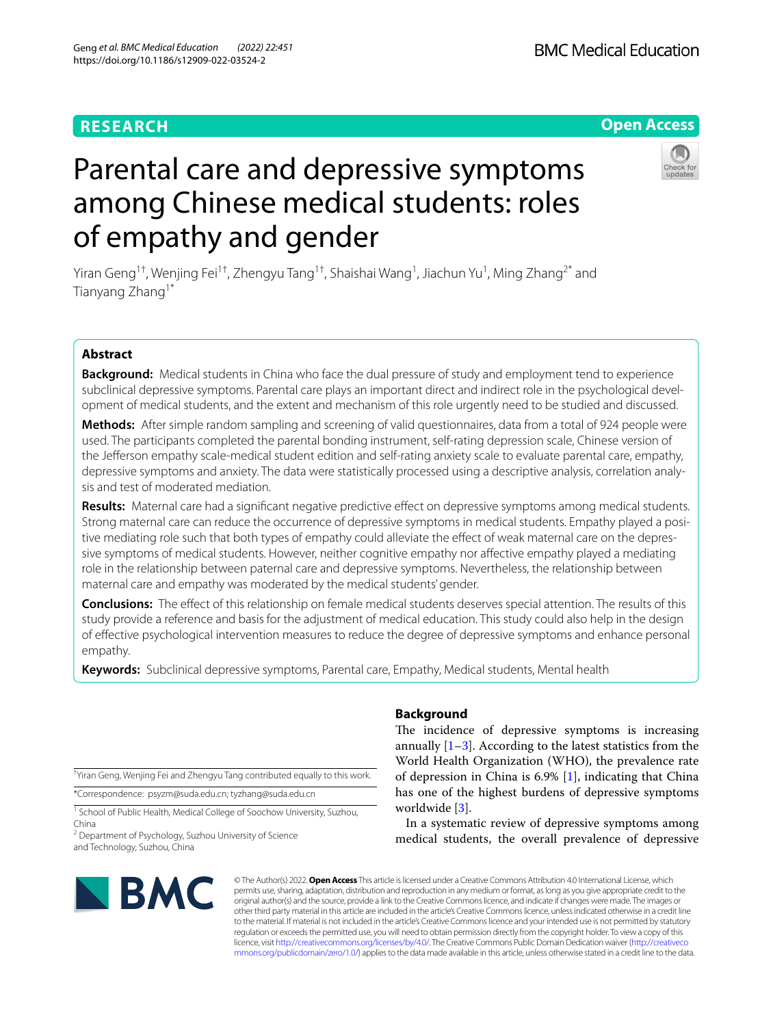# **RESEARCH**

# **Open Access**

# Parental care and depressive symptoms among Chinese medical students: roles of empathy and gender

Yiran Geng<sup>1†</sup>, Wenjing Fei<sup>1†</sup>, Zhengyu Tang<sup>1†</sup>, Shaishai Wang<sup>1</sup>, Jiachun Yu<sup>1</sup>, Ming Zhang<sup>2\*</sup> and Tianyang Zhang1\*

# **Abstract**

**Background:** Medical students in China who face the dual pressure of study and employment tend to experience subclinical depressive symptoms. Parental care plays an important direct and indirect role in the psychological development of medical students, and the extent and mechanism of this role urgently need to be studied and discussed.

**Methods:** After simple random sampling and screening of valid questionnaires, data from a total of 924 people were used. The participants completed the parental bonding instrument, self-rating depression scale, Chinese version of the Jeferson empathy scale-medical student edition and self-rating anxiety scale to evaluate parental care, empathy, depressive symptoms and anxiety. The data were statistically processed using a descriptive analysis, correlation analysis and test of moderated mediation.

**Results:** Maternal care had a significant negative predictive effect on depressive symptoms among medical students. Strong maternal care can reduce the occurrence of depressive symptoms in medical students. Empathy played a positive mediating role such that both types of empathy could alleviate the efect of weak maternal care on the depressive symptoms of medical students. However, neither cognitive empathy nor afective empathy played a mediating role in the relationship between paternal care and depressive symptoms. Nevertheless, the relationship between maternal care and empathy was moderated by the medical students' gender.

**Conclusions:** The efect of this relationship on female medical students deserves special attention. The results of this study provide a reference and basis for the adjustment of medical education. This study could also help in the design of efective psychological intervention measures to reduce the degree of depressive symptoms and enhance personal empathy.

**Keywords:** Subclinical depressive symptoms, Parental care, Empathy, Medical students, Mental health

† Yiran Geng, Wenjing Fei and Zhengyu Tang contributed equally to this work.

\*Correspondence: psyzm@suda.edu.cn; tyzhang@suda.edu.cn

<sup>1</sup> School of Public Health, Medical College of Soochow University, Suzhou, China

<sup>2</sup> Department of Psychology, Suzhou University of Science and Technology, Suzhou, China

# **Background**

The incidence of depressive symptoms is increasing annually  $[1-3]$  $[1-3]$ . According to the latest statistics from the World Health Organization (WHO), the prevalence rate of depression in China is 6.9% [\[1\]](#page-9-0), indicating that China has one of the highest burdens of depressive symptoms worldwide [\[3](#page-9-1)].

In a systematic review of depressive symptoms among medical students, the overall prevalence of depressive



© The Author(s) 2022. **Open Access** This article is licensed under a Creative Commons Attribution 4.0 International License, which permits use, sharing, adaptation, distribution and reproduction in any medium or format, as long as you give appropriate credit to the original author(s) and the source, provide a link to the Creative Commons licence, and indicate if changes were made. The images or other third party material in this article are included in the article's Creative Commons licence, unless indicated otherwise in a credit line to the material. If material is not included in the article's Creative Commons licence and your intended use is not permitted by statutory regulation or exceeds the permitted use, you will need to obtain permission directly from the copyright holder. To view a copy of this licence, visit [http://creativecommons.org/licenses/by/4.0/.](http://creativecommons.org/licenses/by/4.0/) The Creative Commons Public Domain Dedication waiver ([http://creativeco](http://creativecommons.org/publicdomain/zero/1.0/) [mmons.org/publicdomain/zero/1.0/](http://creativecommons.org/publicdomain/zero/1.0/)) applies to the data made available in this article, unless otherwise stated in a credit line to the data.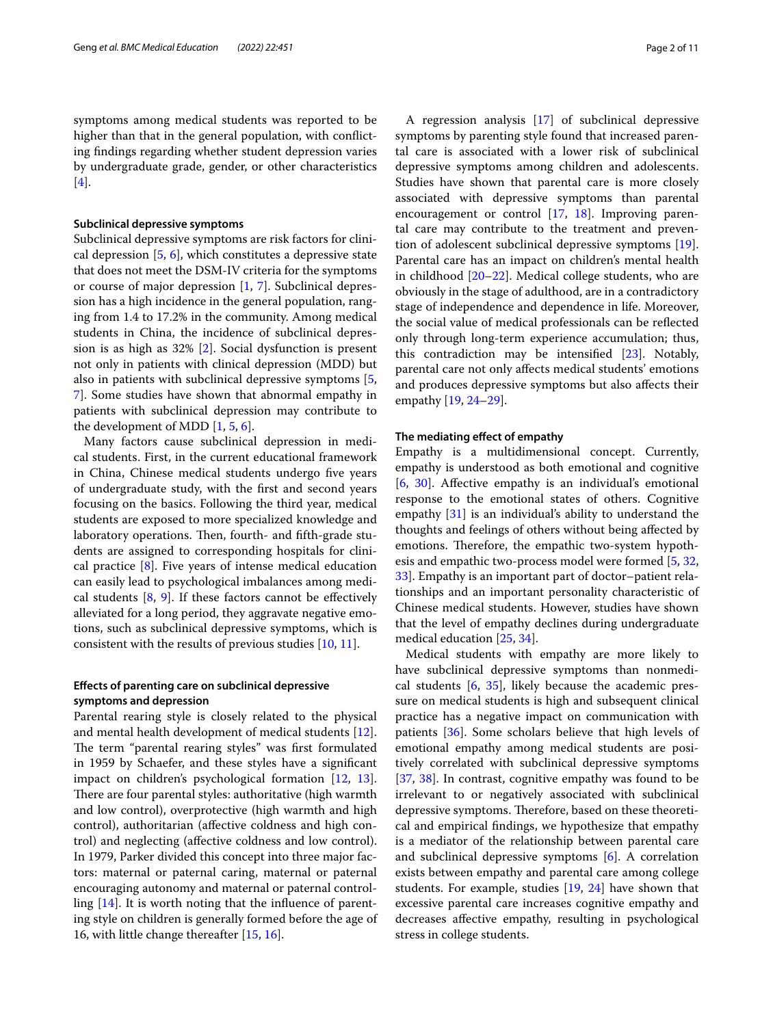symptoms among medical students was reported to be higher than that in the general population, with conficting fndings regarding whether student depression varies by undergraduate grade, gender, or other characteristics [[4\]](#page-9-2).

#### **Subclinical depressive symptoms**

Subclinical depressive symptoms are risk factors for clinical depression [\[5,](#page-9-3) [6\]](#page-9-4), which constitutes a depressive state that does not meet the DSM-IV criteria for the symptoms or course of major depression [[1,](#page-9-0) [7](#page-10-0)]. Subclinical depression has a high incidence in the general population, ranging from 1.4 to 17.2% in the community. Among medical students in China, the incidence of subclinical depression is as high as 32% [\[2](#page-9-5)]. Social dysfunction is present not only in patients with clinical depression (MDD) but also in patients with subclinical depressive symptoms [\[5](#page-9-3), [7\]](#page-10-0). Some studies have shown that abnormal empathy in patients with subclinical depression may contribute to the development of MDD  $[1, 5, 6]$  $[1, 5, 6]$  $[1, 5, 6]$  $[1, 5, 6]$  $[1, 5, 6]$ .

Many factors cause subclinical depression in medical students. First, in the current educational framework in China, Chinese medical students undergo fve years of undergraduate study, with the frst and second years focusing on the basics. Following the third year, medical students are exposed to more specialized knowledge and laboratory operations. Then, fourth- and fifth-grade students are assigned to corresponding hospitals for clinical practice  $[8]$  $[8]$ . Five years of intense medical education can easily lead to psychological imbalances among medical students  $[8, 9]$  $[8, 9]$  $[8, 9]$ . If these factors cannot be effectively alleviated for a long period, they aggravate negative emotions, such as subclinical depressive symptoms, which is consistent with the results of previous studies [[10,](#page-10-3) [11\]](#page-10-4).

# **Efects of parenting care on subclinical depressive symptoms and depression**

Parental rearing style is closely related to the physical and mental health development of medical students [\[12](#page-10-5)]. The term "parental rearing styles" was first formulated in 1959 by Schaefer, and these styles have a signifcant impact on children's psychological formation [\[12](#page-10-5), [13](#page-10-6)]. There are four parental styles: authoritative (high warmth and low control), overprotective (high warmth and high control), authoritarian (afective coldness and high control) and neglecting (afective coldness and low control). In 1979, Parker divided this concept into three major factors: maternal or paternal caring, maternal or paternal encouraging autonomy and maternal or paternal controlling [\[14](#page-10-7)]. It is worth noting that the infuence of parenting style on children is generally formed before the age of 16, with little change thereafter [\[15](#page-10-8), [16\]](#page-10-9).

A regression analysis [\[17\]](#page-10-10) of subclinical depressive symptoms by parenting style found that increased parental care is associated with a lower risk of subclinical depressive symptoms among children and adolescents. Studies have shown that parental care is more closely associated with depressive symptoms than parental encouragement or control [[17](#page-10-10), [18\]](#page-10-11). Improving parental care may contribute to the treatment and prevention of adolescent subclinical depressive symptoms [\[19](#page-10-12)]. Parental care has an impact on children's mental health in childhood [[20](#page-10-13)[–22](#page-10-14)]. Medical college students, who are obviously in the stage of adulthood, are in a contradictory stage of independence and dependence in life. Moreover, the social value of medical professionals can be refected only through long-term experience accumulation; thus, this contradiction may be intensifed [\[23\]](#page-10-15). Notably, parental care not only afects medical students' emotions and produces depressive symptoms but also afects their empathy [\[19](#page-10-12), [24–](#page-10-16)[29](#page-10-17)].

#### **The mediating efect of empathy**

Empathy is a multidimensional concept. Currently, empathy is understood as both emotional and cognitive [[6,](#page-9-4) [30\]](#page-10-18). Afective empathy is an individual's emotional response to the emotional states of others. Cognitive empathy [[31](#page-10-19)] is an individual's ability to understand the thoughts and feelings of others without being afected by emotions. Therefore, the empathic two-system hypothesis and empathic two-process model were formed [\[5,](#page-9-3) [32](#page-10-20), [33\]](#page-10-21). Empathy is an important part of doctor–patient relationships and an important personality characteristic of Chinese medical students. However, studies have shown that the level of empathy declines during undergraduate medical education [\[25](#page-10-22), [34\]](#page-10-23).

Medical students with empathy are more likely to have subclinical depressive symptoms than nonmedical students [[6,](#page-9-4) [35](#page-10-24)], likely because the academic pressure on medical students is high and subsequent clinical practice has a negative impact on communication with patients [[36](#page-10-25)]. Some scholars believe that high levels of emotional empathy among medical students are positively correlated with subclinical depressive symptoms [[37,](#page-10-26) [38\]](#page-10-27). In contrast, cognitive empathy was found to be irrelevant to or negatively associated with subclinical depressive symptoms. Therefore, based on these theoretical and empirical fndings, we hypothesize that empathy is a mediator of the relationship between parental care and subclinical depressive symptoms [\[6](#page-9-4)]. A correlation exists between empathy and parental care among college students. For example, studies [[19](#page-10-12), [24](#page-10-16)] have shown that excessive parental care increases cognitive empathy and decreases afective empathy, resulting in psychological stress in college students.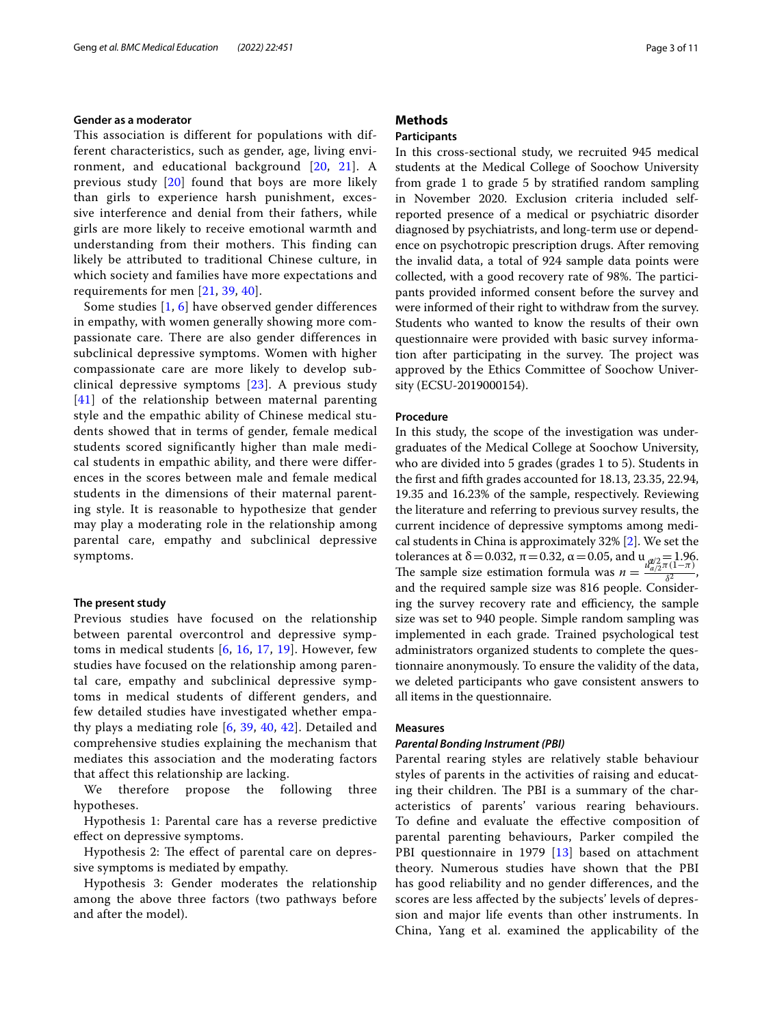#### **Gender as a moderator**

This association is different for populations with different characteristics, such as gender, age, living environment, and educational background [[20](#page-10-13), [21](#page-10-28)]. A previous study [\[20\]](#page-10-13) found that boys are more likely than girls to experience harsh punishment, excessive interference and denial from their fathers, while girls are more likely to receive emotional warmth and understanding from their mothers. This finding can likely be attributed to traditional Chinese culture, in which society and families have more expectations and requirements for men [[21](#page-10-28), [39](#page-10-29), [40](#page-10-30)].

Some studies [[1](#page-9-0), [6](#page-9-4)] have observed gender differences in empathy, with women generally showing more compassionate care. There are also gender differences in subclinical depressive symptoms. Women with higher compassionate care are more likely to develop subclinical depressive symptoms [\[23\]](#page-10-15). A previous study [[41](#page-10-31)] of the relationship between maternal parenting style and the empathic ability of Chinese medical students showed that in terms of gender, female medical students scored significantly higher than male medical students in empathic ability, and there were differences in the scores between male and female medical students in the dimensions of their maternal parenting style. It is reasonable to hypothesize that gender may play a moderating role in the relationship among parental care, empathy and subclinical depressive symptoms.

#### **The present study**

Previous studies have focused on the relationship between parental overcontrol and depressive symptoms in medical students [[6,](#page-9-4) [16](#page-10-9), [17](#page-10-10), [19\]](#page-10-12). However, few studies have focused on the relationship among parental care, empathy and subclinical depressive symptoms in medical students of different genders, and few detailed studies have investigated whether empathy plays a mediating role  $[6, 39, 40, 42]$  $[6, 39, 40, 42]$  $[6, 39, 40, 42]$  $[6, 39, 40, 42]$  $[6, 39, 40, 42]$  $[6, 39, 40, 42]$  $[6, 39, 40, 42]$  $[6, 39, 40, 42]$ . Detailed and comprehensive studies explaining the mechanism that mediates this association and the moderating factors that affect this relationship are lacking.

We therefore propose the following three hypotheses.

Hypothesis 1: Parental care has a reverse predictive efect on depressive symptoms.

Hypothesis 2: The effect of parental care on depressive symptoms is mediated by empathy.

Hypothesis 3: Gender moderates the relationship among the above three factors (two pathways before and after the model).

# **Methods**

# **Participants**

In this cross-sectional study, we recruited 945 medical students at the Medical College of Soochow University from grade 1 to grade 5 by stratifed random sampling in November 2020. Exclusion criteria included selfreported presence of a medical or psychiatric disorder diagnosed by psychiatrists, and long-term use or dependence on psychotropic prescription drugs. After removing the invalid data, a total of 924 sample data points were collected, with a good recovery rate of 98%. The participants provided informed consent before the survey and were informed of their right to withdraw from the survey. Students who wanted to know the results of their own questionnaire were provided with basic survey information after participating in the survey. The project was approved by the Ethics Committee of Soochow University (ECSU-2019000154).

#### **Procedure**

In this study, the scope of the investigation was undergraduates of the Medical College at Soochow University, who are divided into 5 grades (grades 1 to 5). Students in the frst and ffth grades accounted for 18.13, 23.35, 22.94, 19.35 and 16.23% of the sample, respectively. Reviewing the literature and referring to previous survey results, the current incidence of depressive symptoms among medical students in China is approximately 32% [\[2](#page-9-5)]. We set the tolerances at  $\delta$  = 0.032,  $\pi$  = 0.32,  $\alpha$  = 0.05, and u  $\alpha$ /2=1.96.<br>The sample size estimation formula was  $\alpha = \frac{u_{a/2} - 1.96}{u_{a/2} - \pi(1 - \pi)}$ . The sample size estimation formula was  $n = \frac{u_{a}}{a}$  $\frac{1}{\delta^2}$ , and the required sample size was 816 people. Considering the survey recovery rate and efficiency, the sample size was set to 940 people. Simple random sampling was implemented in each grade. Trained psychological test administrators organized students to complete the questionnaire anonymously. To ensure the validity of the data, we deleted participants who gave consistent answers to all items in the questionnaire.

#### **Measures**

#### *Parental Bonding Instrument (PBI)*

Parental rearing styles are relatively stable behaviour styles of parents in the activities of raising and educating their children. The PBI is a summary of the characteristics of parents' various rearing behaviours. To defne and evaluate the efective composition of parental parenting behaviours, Parker compiled the PBI questionnaire in 1979 [\[13](#page-10-6)] based on attachment theory. Numerous studies have shown that the PBI has good reliability and no gender diferences, and the scores are less afected by the subjects' levels of depression and major life events than other instruments. In China, Yang et al. examined the applicability of the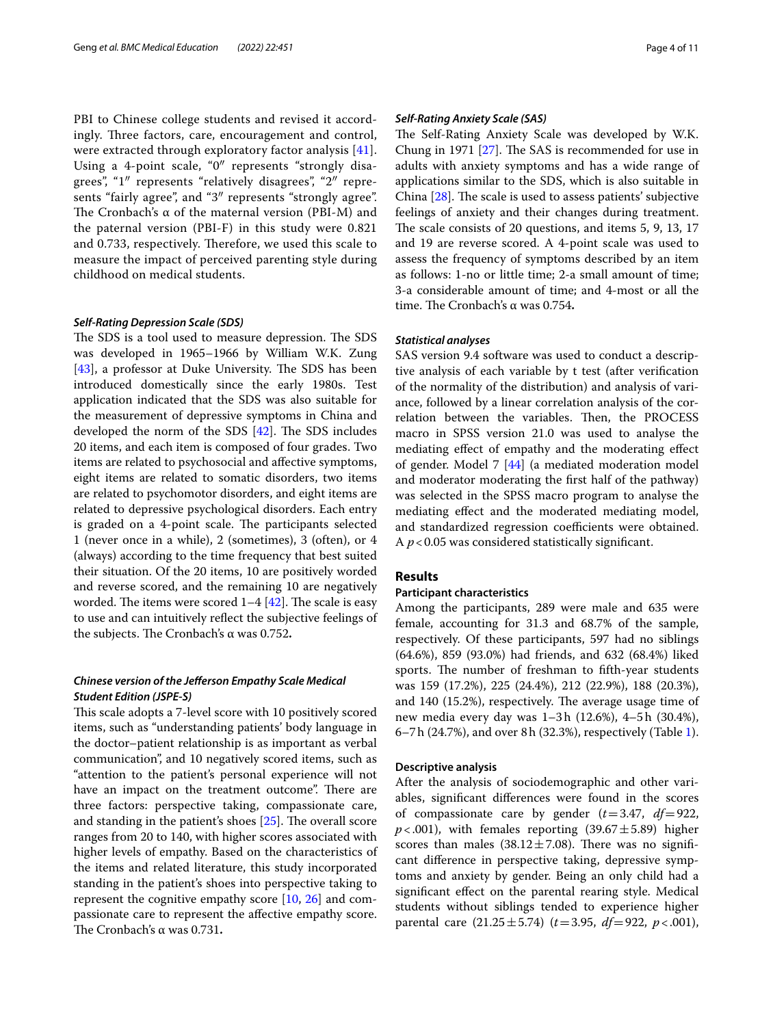PBI to Chinese college students and revised it accordingly. Three factors, care, encouragement and control, were extracted through exploratory factor analysis [[41\]](#page-10-31). Using a 4-point scale, "0″ represents "strongly disagrees", "1″ represents "relatively disagrees", "2″ represents "fairly agree", and "3″ represents "strongly agree". The Cronbach's  $\alpha$  of the maternal version (PBI-M) and the paternal version (PBI-F) in this study were 0.821 and 0.733, respectively. Therefore, we used this scale to measure the impact of perceived parenting style during childhood on medical students.

#### *Self‑Rating Depression Scale (SDS)*

The SDS is a tool used to measure depression. The SDS was developed in 1965–1966 by William W.K. Zung  $[43]$  $[43]$ , a professor at Duke University. The SDS has been introduced domestically since the early 1980s. Test application indicated that the SDS was also suitable for the measurement of depressive symptoms in China and developed the norm of the SDS  $[42]$  $[42]$ . The SDS includes 20 items, and each item is composed of four grades. Two items are related to psychosocial and afective symptoms, eight items are related to somatic disorders, two items are related to psychomotor disorders, and eight items are related to depressive psychological disorders. Each entry is graded on a 4-point scale. The participants selected 1 (never once in a while), 2 (sometimes), 3 (often), or 4 (always) according to the time frequency that best suited their situation. Of the 20 items, 10 are positively worded and reverse scored, and the remaining 10 are negatively worded. The items were scored  $1-4$  [[42\]](#page-10-32). The scale is easy to use and can intuitively refect the subjective feelings of the subjects. The Cronbach's α was 0.752.

# *Chinese version of the Jeferson Empathy Scale Medical Student Edition (JSPE‑S)*

This scale adopts a 7-level score with 10 positively scored items, such as "understanding patients' body language in the doctor–patient relationship is as important as verbal communication", and 10 negatively scored items, such as "attention to the patient's personal experience will not have an impact on the treatment outcome". There are three factors: perspective taking, compassionate care, and standing in the patient's shoes  $[25]$  $[25]$ . The overall score ranges from 20 to 140, with higher scores associated with higher levels of empathy. Based on the characteristics of the items and related literature, this study incorporated standing in the patient's shoes into perspective taking to represent the cognitive empathy score [\[10](#page-10-3), [26](#page-10-34)] and compassionate care to represent the afective empathy score. The Cronbach's α was 0.731.

#### *Self‑Rating Anxiety Scale (SAS)*

The Self-Rating Anxiety Scale was developed by W.K. Chung in 1971  $[27]$  $[27]$ . The SAS is recommended for use in adults with anxiety symptoms and has a wide range of applications similar to the SDS, which is also suitable in China  $[28]$ . The scale is used to assess patients' subjective feelings of anxiety and their changes during treatment. The scale consists of 20 questions, and items 5, 9, 13, 17 and 19 are reverse scored. A 4-point scale was used to assess the frequency of symptoms described by an item as follows: 1-no or little time; 2-a small amount of time; 3-a considerable amount of time; and 4-most or all the time. The Cronbach's α was 0.754.

#### *Statistical analyses*

SAS version 9.4 software was used to conduct a descriptive analysis of each variable by t test (after verifcation of the normality of the distribution) and analysis of variance, followed by a linear correlation analysis of the correlation between the variables. Then, the PROCESS macro in SPSS version 21.0 was used to analyse the mediating efect of empathy and the moderating efect of gender. Model 7 [[44](#page-10-37)] (a mediated moderation model and moderator moderating the frst half of the pathway) was selected in the SPSS macro program to analyse the mediating efect and the moderated mediating model, and standardized regression coefficients were obtained. A *p*<0.05 was considered statistically signifcant.

#### **Results**

#### **Participant characteristics**

Among the participants, 289 were male and 635 were female, accounting for 31.3 and 68.7% of the sample, respectively. Of these participants, 597 had no siblings (64.6%), 859 (93.0%) had friends, and 632 (68.4%) liked sports. The number of freshman to fifth-year students was 159 (17.2%), 225 (24.4%), 212 (22.9%), 188 (20.3%), and  $140$  (15.2%), respectively. The average usage time of new media every day was 1–3h (12.6%), 4–5h (30.4%), 6–7h (24.7%), and over 8h (32.3%), respectively (Table [1](#page-4-0)).

#### **Descriptive analysis**

After the analysis of sociodemographic and other variables, signifcant diferences were found in the scores of compassionate care by gender (*t*=3.47, *df*=922,  $p<.001$ ), with females reporting (39.67 $\pm$ 5.89) higher scores than males  $(38.12 \pm 7.08)$ . There was no significant diference in perspective taking, depressive symptoms and anxiety by gender. Being an only child had a significant effect on the parental rearing style. Medical students without siblings tended to experience higher parental care (21.25±5.74) (*t*=3.95, *df*=922, *p*<.001),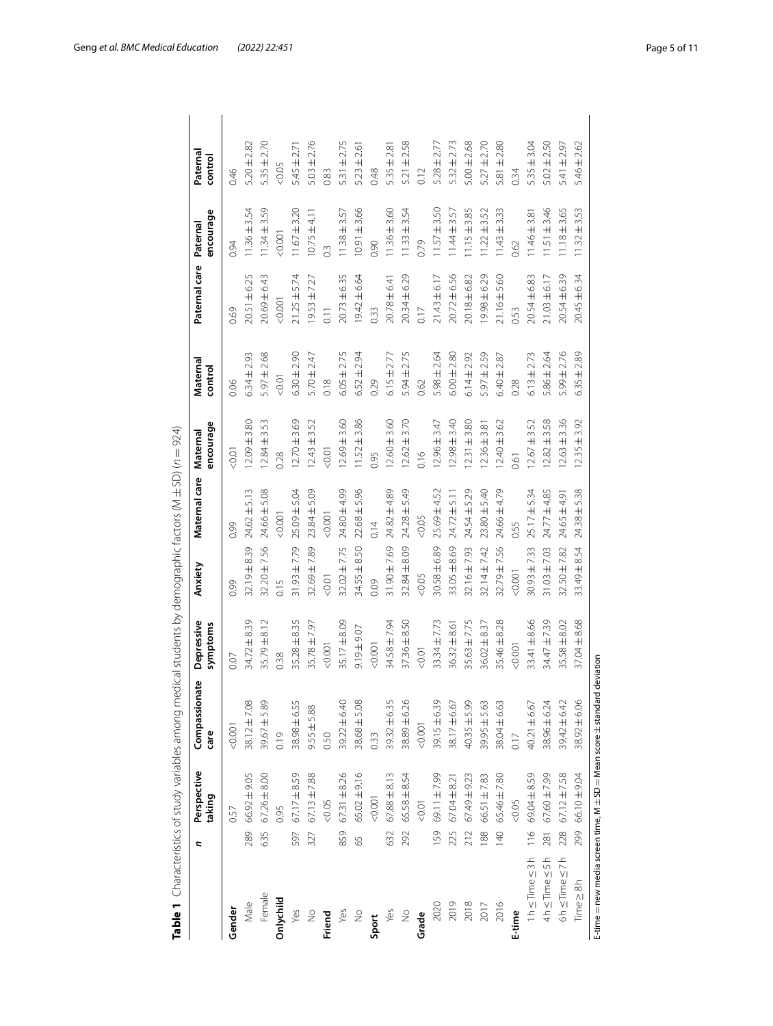| Geng et al. BMC Medical Education (2022) 22:451 |  | Page 5 of 11 |
|-------------------------------------------------|--|--------------|
|                                                 |  |              |

<span id="page-4-0"></span>

|                            | 2              | Perspective<br>taking                                                      | ate<br>Compassion<br>care | Depressive<br>symptoms | Anxiety          | Maternal care    | encourage<br>Maternal | Maternal<br>control | Paternal care     | encourage<br>Paternal | Paternal<br>control |
|----------------------------|----------------|----------------------------------------------------------------------------|---------------------------|------------------------|------------------|------------------|-----------------------|---------------------|-------------------|-----------------------|---------------------|
| Gender                     |                | 0.57                                                                       | 0.001                     | 0.07                   | 0.99             | 0.99             | 0.01                  | 0.06                | 0.69              | 0.94                  | 0.46                |
| Male                       | 289            | $66.92 \pm 9.05$                                                           | $38.12 \pm 7.08$          | $34.72 \pm 8.39$       | 32.19±8.39       | $24.62 \pm 5.13$ | $12.09 \pm 3.80$      | $6.34 \pm 2.93$     | 20.51 ± 6.25      | $11.36 \pm 3.54$      | $5.20 \pm 2.82$     |
| Female                     | 635            | $67.26 \pm 8.00$                                                           | $39.67 + 5.89$            | $35.79 \pm 8.12$       | $32.20 \pm 7.56$ | $24.66 \pm 5.08$ | $12.84 \pm 3.53$      | $5.97 \pm 2.68$     | $20.69 \pm 6.43$  | $11.34 \pm 3.59$      | $5.35 \pm 2.70$     |
| Onlychild                  |                | 0.95                                                                       | 0.19                      | 0.38                   | 0.15             | 0.001            | 0.28                  | $-0.01$             | 0.001             | < 0.001               | &0.05               |
| Yes                        | 597            | $67.17 \pm 8.59$                                                           | $38.98 \pm 6.55$          | $35.28 \pm 8.35$       | $31.93 \pm 7.79$ | $25.09 \pm 5.04$ | $12.70 \pm 3.69$      | $6.30 \pm 2.90$     | $21.25 \pm 5.74$  | $1.67 \pm 3.20$       | $5.45 \pm 2.7$      |
| $\frac{1}{2}$              | 327            | $67.13 \pm 7.88$                                                           | $9.55 \pm 5.88$           | 35.78 ± 7.97           | $32.69 \pm 7.89$ | 23.84 ± 5.09     | $12.43 \pm 3.52$      | $5.70 \pm 2.47$     | $19.53 \pm 7.27$  | $10.75 \pm 4.11$      | $5.03 \pm 2.76$     |
| Friend                     |                | &0.05                                                                      | 0.50                      | 0.001                  | < 0.01           | 0.001            | 10.01                 | 0.18                | $\overline{0.11}$ | $\frac{3}{2}$         | 0.83                |
| Yes                        | 859            | $67.31 + 8.26$                                                             | $39.22 \pm 6.40$          | 35.17±8.09             | $32.02 \pm 7.75$ | 24.80±4.99       | $12.69 + 3.60$        | $6.05 \pm 2.75$     | $20.73 \pm 6.35$  | $1.38 \pm 3.57$       | $5.31 \pm 2.75$     |
| $\frac{1}{2}$              | 59             | $65.02 \pm 9.16$                                                           | 38.68 ± 5.08              | $9.19 + 9.07$          | 34.55 ± 8.50     | $22.68 \pm 5.96$ | $11.52 \pm 3.86$      | $6.52 \pm 2.94$     | $19.42 \pm 6.64$  | $10.91 \pm 3.66$      | $5.23 \pm 2.61$     |
| Sport                      |                | 0.001                                                                      | 0.33                      | < 0.001                | 0.09             | 0.14             | 0.95                  | 0.29                | 0.33              | 0.90                  | 0.48                |
| Yes                        | 632            | S<br>$67.88 \pm 8.1$                                                       | 39.32 ± 6.35              | 34.58 ± 7.94           | 31.90±7.69       | 24.82 ±4.89      | $12.60 \pm 3.60$      | $6.15 \pm 2.77$     | 20.78 ± 6.41      | $11.36 \pm 3.60$      | $5.35 \pm 2.8$      |
| $\stackrel{\circ}{\geq}$   | 292            | 65.58 ± 8.54                                                               | 38.89±6.26                | $37.36 \pm 8.50$       | 32.84±8.09       | 24.28 ± 5.49     | $12.62 \pm 3.70$      | 5.94±2.75           | 20.34 ± 6.29      | $11.33 \pm 3.54$      | $5.21 \pm 2.58$     |
| Grade                      |                | 0.07 <sub>0</sub>                                                          | < 0.001                   | $500 - 500$            | &0.05            | &0.05            | 0.16                  | 0.62                | 0.17              | 0.79                  | 0.12                |
| 2020                       | 159            | 69.11 ±7.99                                                                | 39.15±6.39                | $33.34 \pm 7.73$       | 30.58±6.89       | 25.69±4.52       | $12.96 \pm 3.47$      | $5.98 \pm 2.64$     | 21.43 ± 6.17      | $11.57 \pm 3.50$      | $5.28 \pm 2.77$     |
| 2019                       | 225            | $67.04 \pm 8.21$                                                           | $38.17 \pm 6.67$          | $36.32 \pm 8.6$        | 33.05±8.69       | $24.72 \pm 5.11$ | $2.98 \pm 3.40$       | $6.00 \pm 2.80$     | $20.72 \pm 6.56$  | $11.44 \pm 3.57$      | $5.32 \pm 2.73$     |
| 2018                       | 212            | 67.49 ± 9.23                                                               | $40.35 + 5.99$            | $15.63 \pm 7.75$       | 32.16±7.93       | 24.54±5.29       | $2.31 + 3.80$         | $6.14 \pm 2.92$     | 20.18 ± 6.82      | $1.15 \pm 3.85$       | $5.00 \pm 2.68$     |
| 2017                       | 88             | 66.51 ± 7.83                                                               | $39.95 \pm 5.63$          | $36.02 \pm 8.37$       | 32.14±7.42       | $23.80 \pm 5.40$ | $12.36 \pm 3.81$      | 5.97 $\pm$ 2.59     | $9.98 \pm 6.29$   | $1.22 \pm 3.52$       | $5.27 \pm 2.70$     |
| 2016                       | $\frac{40}{5}$ | $65.46 \pm 7.80$                                                           | 38.04±6.63                | $35.46 \pm 8.28$       | 32.79 ± 7.56     | 24.66 ± 4.79     | $12.40 \pm 3.62$      | $6.40 \pm 2.87$     | $21.16 \pm 5.60$  | $1.43 \pm 3.33$       | $5.81 + 2.80$       |
| E-time                     |                | &0.05                                                                      | 0.17                      | < 0.001                | < 0.001          | 0.55             | 0.61                  | 0.28                | 0.53              | 0.62                  | 0.34                |
| $1 h \leq$ Time $\leq 3 h$ | $\frac{6}{11}$ | 69.04 ± 8.59                                                               | $40.21 \pm 6.67$          | $33.41 \pm 8.66$       | $30.93 \pm 7.33$ | $25.17 \pm 5.34$ | $12.67 \pm 3.52$      | $6.13 \pm 2.73$     | 20.54 ± 6.83      | $1.46 \pm 3.81$       | $5.35 \pm 3.04$     |
| 4h≤Time ≤5h                | 281            | 67.60 ± 7.99                                                               | $38.96 \pm 6.24$          | 34.47 ± 7.39           | $31.03 \pm 7.03$ | $24.77 \pm 4.85$ | $12.82 \pm 3.58$      | $5.86 \pm 2.64$     | $21.03 \pm 6.17$  | $1.51 \pm 3.46$       | $5.02 \pm 2.50$     |
| $6h \leq Time \leq 7h$     |                | 228 67.12 ± 7.58                                                           | 39.42 ± 6.42              | $35.58 \pm 8.02$       | $32.50 \pm 7.82$ | 24.65 ± 4.91     | $12.63 + 3.36$        | $5.99 \pm 2.76$     | 20.54 ± 6.39      | $11.18 \pm 3.65$      | $5.41 \pm 2.97$     |
| $Time \geq 8h$             | 299            | 66.10 ± 9.04                                                               | 38.92±6.06                | 37.04±8.68             | $33.49 \pm 8.54$ | $24.38 \pm 5.38$ | $12.35 + 3.92$        | ±2.89<br>6.35       | $20.45 \pm 6.34$  | $11.32 \pm 3.53$      | $5.46 \pm 2.62$     |
|                            |                | E-time $=$ new media screen time. M $\pm$ SD $=$ Mean score $\pm$ standard | deviation                 |                        |                  |                  |                       |                     |                   |                       |                     |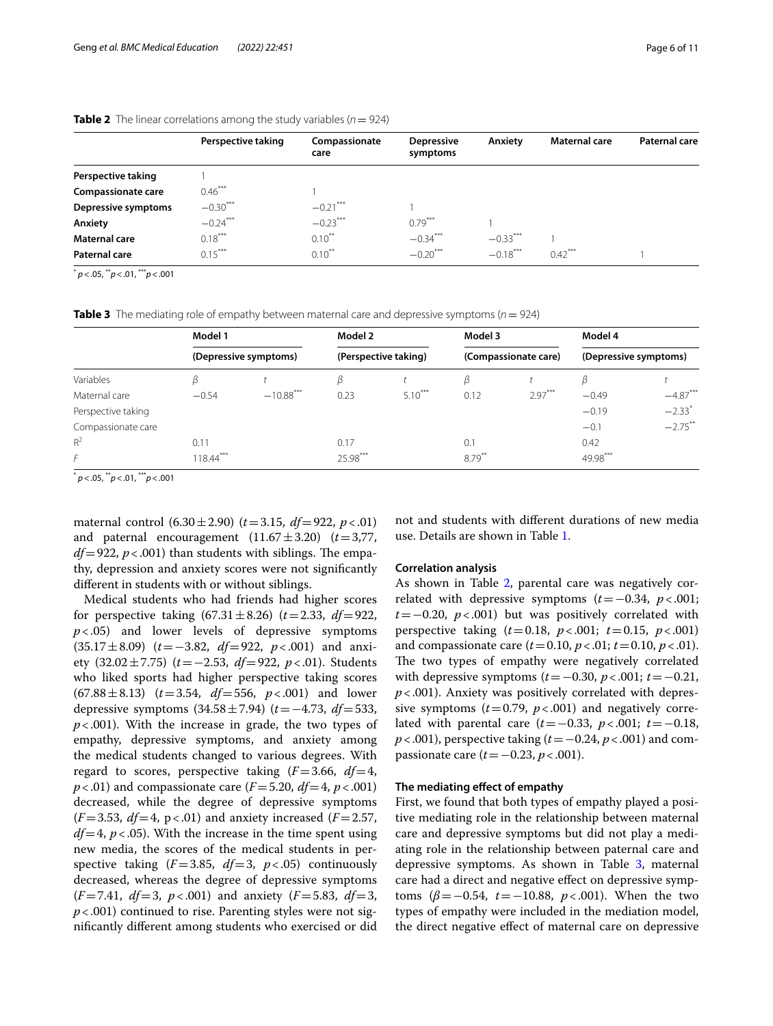|                           | Perspective taking | Compassionate<br>care | <b>Depressive</b><br>symptoms | Anxiety    | <b>Maternal care</b> | <b>Paternal care</b> |
|---------------------------|--------------------|-----------------------|-------------------------------|------------|----------------------|----------------------|
| Perspective taking        |                    |                       |                               |            |                      |                      |
| <b>Compassionate care</b> | $0.46***$          |                       |                               |            |                      |                      |
| Depressive symptoms       | $-0.30***$         | $-0.21***$            |                               |            |                      |                      |
| Anxiety                   | $-0.24***$         | $-0.23***$            | $0.79***$                     |            |                      |                      |
| <b>Maternal care</b>      | $0.18***$          | $0.10***$             | $-0.34***$                    | $-0.33***$ |                      |                      |
| Paternal care             | $0.15***$          | $0.10^{**}$           | $-0.20***$                    | $-0.18***$ | $0.42***$            |                      |
|                           |                    |                       |                               |            |                      |                      |

#### <span id="page-5-0"></span>**Table 2** The linear correlations among the study variables ( $n = 924$ )

\* *p*<.05, \*\**p*<.01, \*\*\**p*<.001

<span id="page-5-1"></span>**Table 3** The mediating role of empathy between maternal care and depressive symptoms (*n*= 924)

|                    | Model 1    |                       | Model 2              |           | Model 3   |                      | Model 4               |                      |
|--------------------|------------|-----------------------|----------------------|-----------|-----------|----------------------|-----------------------|----------------------|
|                    |            | (Depressive symptoms) | (Perspective taking) |           |           | (Compassionate care) | (Depressive symptoms) |                      |
| Variables          | β          |                       | β                    |           | ß         |                      | ß                     |                      |
| Maternal care      | $-0.54$    | $-10.88$ ***          | 0.23                 | $5.10***$ | 0.12      | $2.97***$            | $-0.49$               | $-4.87***$           |
| Perspective taking |            |                       |                      |           |           |                      | $-0.19$               | $-2.33$ <sup>*</sup> |
| Compassionate care |            |                       |                      |           |           |                      | $-0.1$                | $-2.75***$           |
| $R^2$              | 0.11       |                       | 0.17                 |           | 0.1       |                      | 0.42                  |                      |
| F                  | $18.44***$ |                       | 25.98***             |           | $8.79***$ |                      | 49.98***              |                      |

\* *p*<.05, \*\**p*<.01, \*\*\**p*<.001

maternal control  $(6.30 \pm 2.90)$   $(t=3.15, df=922, p<0.01)$ and paternal encouragement  $(11.67 \pm 3.20)$   $(t=3.77,$  $df = 922$ ,  $p < .001$ ) than students with siblings. The empathy, depression and anxiety scores were not signifcantly diferent in students with or without siblings.

Medical students who had friends had higher scores for perspective taking  $(67.31 \pm 8.26)$   $(t=2.33, df=922,$ *p*<.05) and lower levels of depressive symptoms (35.17±8.09) (*t*=−3.82, *df*=922, *p*<.001) and anxiety (32.02±7.75) (*t*=−2.53, *df*=922, *p*<.01). Students who liked sports had higher perspective taking scores (67.88±8.13) (*t*=3.54, *df*=556, *p*<.001) and lower depressive symptoms (34.58±7.94) (*t*=−4.73, *df*=533, *p*<.001). With the increase in grade, the two types of empathy, depressive symptoms, and anxiety among the medical students changed to various degrees. With regard to scores, perspective taking  $(F=3.66, df=4,$ *p*<.01) and compassionate care  $(F = 5.20, df = 4, p < .001)$ decreased, while the degree of depressive symptoms  $(F = 3.53, df = 4, p < .01)$  and anxiety increased  $(F = 2.57,$  $df=4$ ,  $p < .05$ ). With the increase in the time spent using new media, the scores of the medical students in perspective taking  $(F=3.85, df=3, p<0.05)$  continuously decreased, whereas the degree of depressive symptoms  $(F = 7.41, df = 3, p < .001)$  and anxiety  $(F = 5.83, df = 3,$ *p*<.001) continued to rise. Parenting styles were not signifcantly diferent among students who exercised or did not and students with diferent durations of new media use. Details are shown in Table [1.](#page-4-0)

#### **Correlation analysis**

As shown in Table [2](#page-5-0), parental care was negatively correlated with depressive symptoms  $(t=-0.34, p<.001;$ *t*=−0.20, *p*<.001) but was positively correlated with perspective taking (*t*=0.18, *p*<.001; *t*=0.15, *p*<.001) and compassionate care  $(t=0.10, p<.01; t=0.10, p<.01)$ . The two types of empathy were negatively correlated with depressive symptoms (*t*=−0.30, *p*<.001; *t*=−0.21, *p*<.001). Anxiety was positively correlated with depressive symptoms  $(t=0.79, p<.001)$  and negatively correlated with parental care (*t*=−0.33, *p*<.001; *t*=−0.18, *p* < .001), perspective taking (*t* = −0.24, *p* < .001) and compassionate care (*t*=−0.23, *p*<.001).

#### **The mediating efect of empathy**

First, we found that both types of empathy played a positive mediating role in the relationship between maternal care and depressive symptoms but did not play a mediating role in the relationship between paternal care and depressive symptoms. As shown in Table [3,](#page-5-1) maternal care had a direct and negative efect on depressive symptoms (*β*=−0.54, *t*=−10.88, *p*<.001). When the two types of empathy were included in the mediation model, the direct negative efect of maternal care on depressive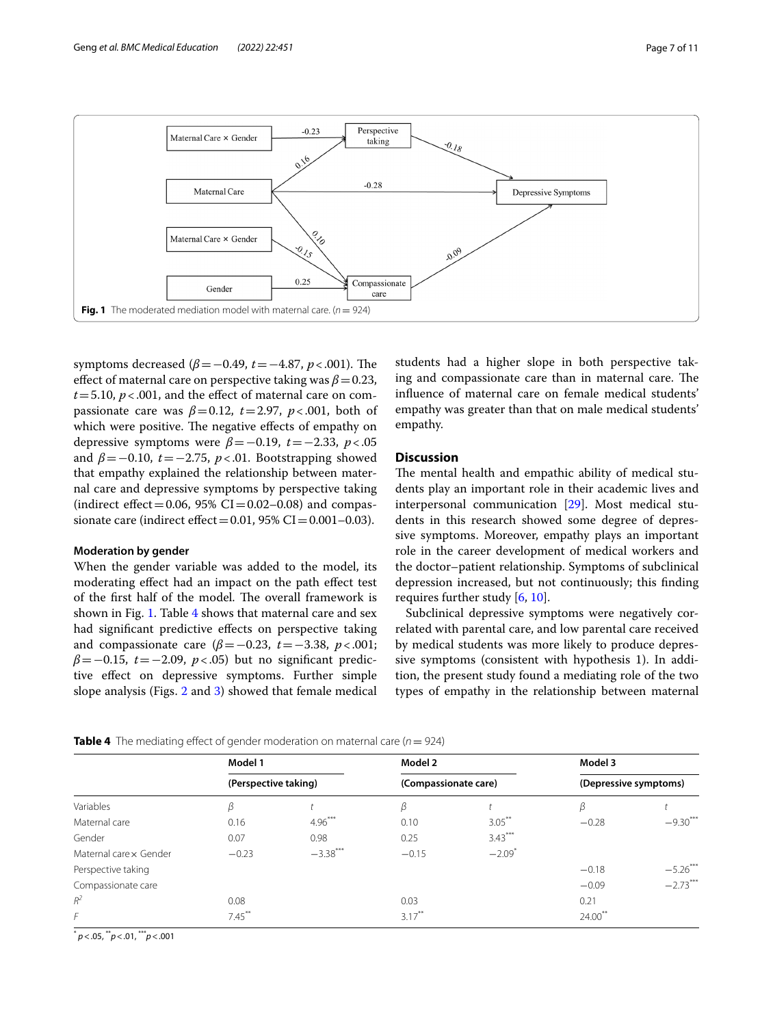

<span id="page-6-0"></span>symptoms decreased ( $\beta$ =−0.49, *t*=−4.87, *p*<.001). The effect of maternal care on perspective taking was  $\beta$  = 0.23,  $t = 5.10$ ,  $p < .001$ , and the effect of maternal care on compassionate care was  $\beta = 0.12$ ,  $t = 2.97$ ,  $p < .001$ , both of which were positive. The negative effects of empathy on depressive symptoms were  $\beta$ =−0.19, *t*=−2.33, *p* <.05 and  $\beta$ =−0.10, *t*=−2.75, *p*<.01. Bootstrapping showed that empathy explained the relationship between maternal care and depressive symptoms by perspective taking (indirect effect = 0.06, 95% CI = 0.02–0.08) and compassionate care (indirect effect =  $0.01$ ,  $95\%$  CI =  $0.001 - 0.03$ ).

### **Moderation by gender**

When the gender variable was added to the model, its moderating efect had an impact on the path efect test of the first half of the model. The overall framework is shown in Fig. [1.](#page-6-0) Table [4](#page-6-1) shows that maternal care and sex had signifcant predictive efects on perspective taking and compassionate care  $(\beta = -0.23, t = -3.38, p < .001;$ *β*=−0.15, *t*=−2.09, *p*<.05) but no signifcant predictive efect on depressive symptoms. Further simple slope analysis (Figs. [2](#page-7-0) and [3](#page-7-1)) showed that female medical

students had a higher slope in both perspective taking and compassionate care than in maternal care. The infuence of maternal care on female medical students' empathy was greater than that on male medical students' empathy.

### **Discussion**

The mental health and empathic ability of medical students play an important role in their academic lives and interpersonal communication [[29\]](#page-10-17). Most medical students in this research showed some degree of depressive symptoms. Moreover, empathy plays an important role in the career development of medical workers and the doctor–patient relationship. Symptoms of subclinical depression increased, but not continuously; this fnding requires further study [\[6](#page-9-4), [10\]](#page-10-3).

Subclinical depressive symptoms were negatively correlated with parental care, and low parental care received by medical students was more likely to produce depressive symptoms (consistent with hypothesis 1). In addition, the present study found a mediating role of the two types of empathy in the relationship between maternal

<span id="page-6-1"></span>

| <b>Table 4</b> The mediating effect of gender moderation on maternal care ( $n = 924$ ) |  |
|-----------------------------------------------------------------------------------------|--|
|-----------------------------------------------------------------------------------------|--|

|                       | Model 1              |            | Model 2              |                      | Model 3               |            |
|-----------------------|----------------------|------------|----------------------|----------------------|-----------------------|------------|
|                       | (Perspective taking) |            | (Compassionate care) |                      | (Depressive symptoms) |            |
| Variables             | ß                    |            | β                    |                      | ß                     |            |
| Maternal care         | 0.16                 | $4.96***$  | 0.10                 | $3.05$ <sup>**</sup> | $-0.28$               | $-9.30***$ |
| Gender                | 0.07                 | 0.98       | 0.25                 | $3.43***$            |                       |            |
| Maternal carex Gender | $-0.23$              | $-3.38***$ | $-0.15$              | $-2.09$ <sup>*</sup> |                       |            |
| Perspective taking    |                      |            |                      |                      | $-0.18$               | $-5.26***$ |
| Compassionate care    |                      |            |                      |                      | $-0.09$               | $-2.73***$ |
| $R^2$                 | 0.08                 |            | 0.03                 |                      | 0.21                  |            |
| F                     | $7.45***$            |            | $3.17***$            |                      | $24.00$ <sup>**</sup> |            |

\* *p*<.05, \*\**p*<.01, \*\*\**p*<.001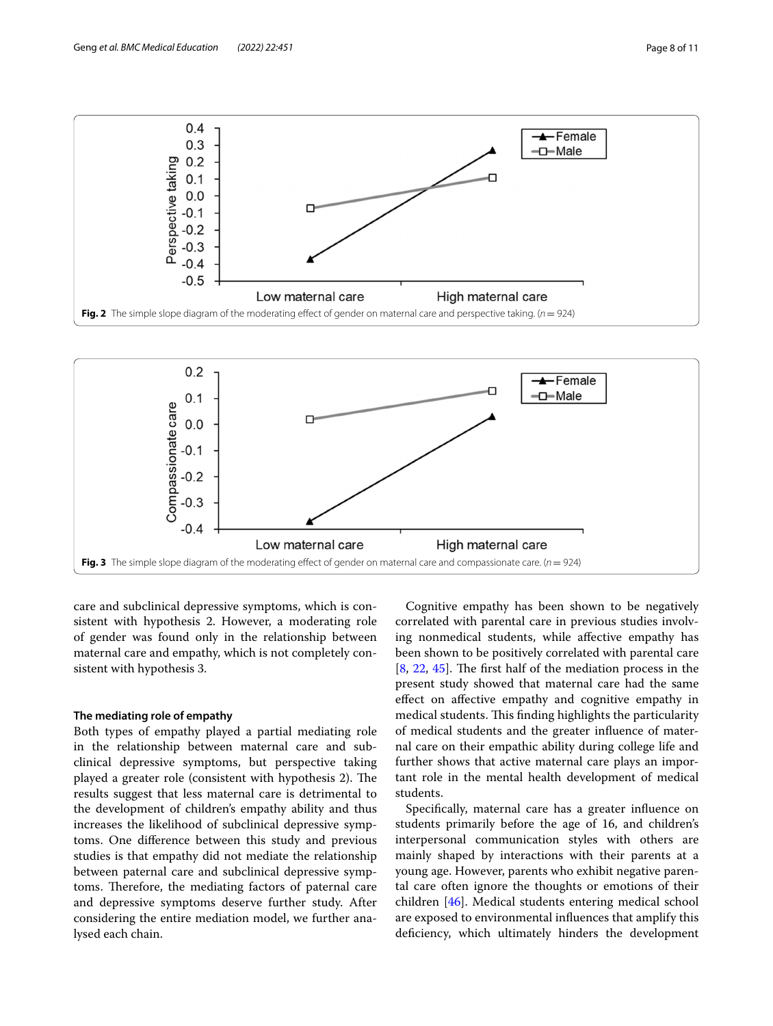

<span id="page-7-0"></span>

<span id="page-7-1"></span>care and subclinical depressive symptoms, which is consistent with hypothesis 2. However, a moderating role of gender was found only in the relationship between maternal care and empathy, which is not completely consistent with hypothesis 3.

#### **The mediating role of empathy**

Both types of empathy played a partial mediating role in the relationship between maternal care and subclinical depressive symptoms, but perspective taking played a greater role (consistent with hypothesis 2). The results suggest that less maternal care is detrimental to the development of children's empathy ability and thus increases the likelihood of subclinical depressive symptoms. One diference between this study and previous studies is that empathy did not mediate the relationship between paternal care and subclinical depressive symptoms. Therefore, the mediating factors of paternal care and depressive symptoms deserve further study. After considering the entire mediation model, we further analysed each chain.

Cognitive empathy has been shown to be negatively correlated with parental care in previous studies involving nonmedical students, while afective empathy has been shown to be positively correlated with parental care  $[8, 22, 45]$  $[8, 22, 45]$  $[8, 22, 45]$  $[8, 22, 45]$  $[8, 22, 45]$  $[8, 22, 45]$  $[8, 22, 45]$ . The first half of the mediation process in the present study showed that maternal care had the same efect on afective empathy and cognitive empathy in medical students. This finding highlights the particularity of medical students and the greater infuence of maternal care on their empathic ability during college life and further shows that active maternal care plays an important role in the mental health development of medical students.

Specifcally, maternal care has a greater infuence on students primarily before the age of 16, and children's interpersonal communication styles with others are mainly shaped by interactions with their parents at a young age. However, parents who exhibit negative parental care often ignore the thoughts or emotions of their children [\[46](#page-10-39)]. Medical students entering medical school are exposed to environmental infuences that amplify this deficiency, which ultimately hinders the development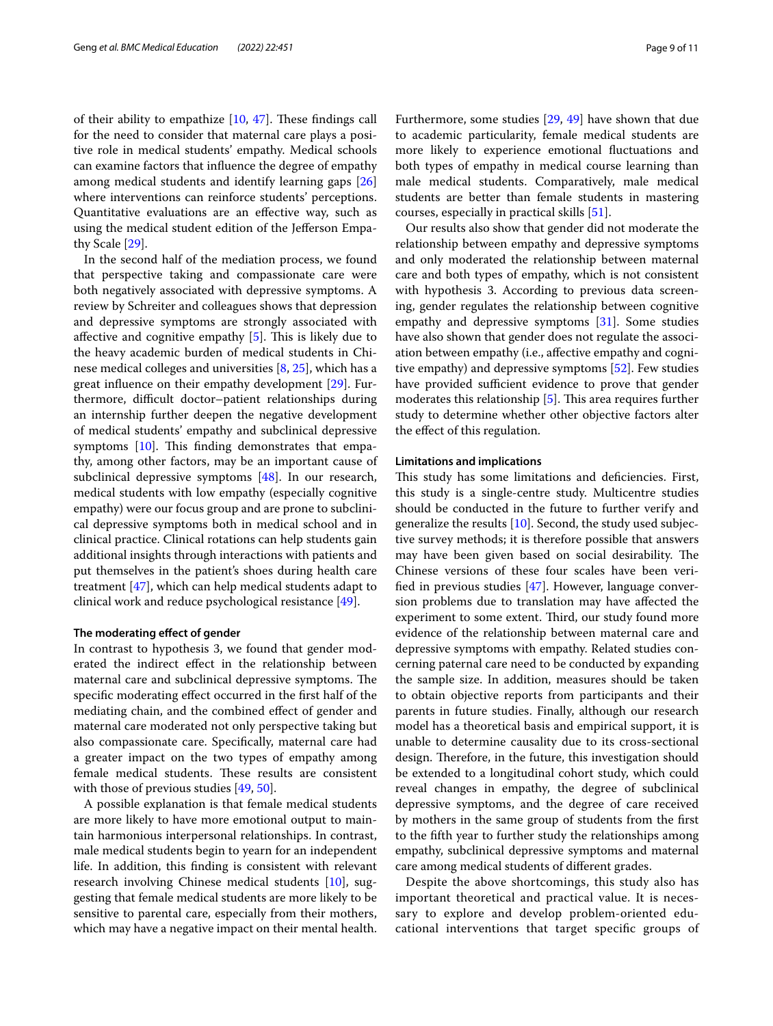of their ability to empathize  $[10, 47]$  $[10, 47]$  $[10, 47]$  $[10, 47]$ . These findings call for the need to consider that maternal care plays a positive role in medical students' empathy. Medical schools can examine factors that infuence the degree of empathy among medical students and identify learning gaps [[26](#page-10-34)] where interventions can reinforce students' perceptions. Quantitative evaluations are an efective way, such as using the medical student edition of the Jefferson Empathy Scale [[29](#page-10-17)].

In the second half of the mediation process, we found that perspective taking and compassionate care were both negatively associated with depressive symptoms. A review by Schreiter and colleagues shows that depression and depressive symptoms are strongly associated with affective and cognitive empathy  $[5]$  $[5]$ . This is likely due to the heavy academic burden of medical students in Chinese medical colleges and universities [\[8,](#page-10-1) [25](#page-10-22)], which has a great infuence on their empathy development [[29\]](#page-10-17). Furthermore, difcult doctor–patient relationships during an internship further deepen the negative development of medical students' empathy and subclinical depressive symptoms  $[10]$ . This finding demonstrates that empathy, among other factors, may be an important cause of subclinical depressive symptoms [[48\]](#page-10-41). In our research, medical students with low empathy (especially cognitive empathy) were our focus group and are prone to subclinical depressive symptoms both in medical school and in clinical practice. Clinical rotations can help students gain additional insights through interactions with patients and put themselves in the patient's shoes during health care treatment [[47\]](#page-10-40), which can help medical students adapt to clinical work and reduce psychological resistance [\[49](#page-10-42)].

#### **The moderating efect of gender**

In contrast to hypothesis 3, we found that gender moderated the indirect efect in the relationship between maternal care and subclinical depressive symptoms. The specifc moderating efect occurred in the frst half of the mediating chain, and the combined efect of gender and maternal care moderated not only perspective taking but also compassionate care. Specifcally, maternal care had a greater impact on the two types of empathy among female medical students. These results are consistent with those of previous studies [[49](#page-10-42), [50\]](#page-10-43).

A possible explanation is that female medical students are more likely to have more emotional output to maintain harmonious interpersonal relationships. In contrast, male medical students begin to yearn for an independent life. In addition, this fnding is consistent with relevant research involving Chinese medical students [[10](#page-10-3)], suggesting that female medical students are more likely to be sensitive to parental care, especially from their mothers, which may have a negative impact on their mental health. Furthermore, some studies [[29,](#page-10-17) [49\]](#page-10-42) have shown that due to academic particularity, female medical students are more likely to experience emotional fuctuations and both types of empathy in medical course learning than male medical students. Comparatively, male medical students are better than female students in mastering courses, especially in practical skills [[51\]](#page-10-44).

Our results also show that gender did not moderate the relationship between empathy and depressive symptoms and only moderated the relationship between maternal care and both types of empathy, which is not consistent with hypothesis 3. According to previous data screening, gender regulates the relationship between cognitive empathy and depressive symptoms [\[31](#page-10-19)]. Some studies have also shown that gender does not regulate the association between empathy (i.e., afective empathy and cognitive empathy) and depressive symptoms [\[52](#page-10-45)]. Few studies have provided sufficient evidence to prove that gender moderates this relationship  $[5]$  $[5]$ . This area requires further study to determine whether other objective factors alter the efect of this regulation.

#### **Limitations and implications**

This study has some limitations and deficiencies. First, this study is a single-centre study. Multicentre studies should be conducted in the future to further verify and generalize the results [\[10](#page-10-3)]. Second, the study used subjective survey methods; it is therefore possible that answers may have been given based on social desirability. The Chinese versions of these four scales have been verifed in previous studies [[47\]](#page-10-40). However, language conversion problems due to translation may have afected the experiment to some extent. Third, our study found more evidence of the relationship between maternal care and depressive symptoms with empathy. Related studies concerning paternal care need to be conducted by expanding the sample size. In addition, measures should be taken to obtain objective reports from participants and their parents in future studies. Finally, although our research model has a theoretical basis and empirical support, it is unable to determine causality due to its cross-sectional design. Therefore, in the future, this investigation should be extended to a longitudinal cohort study, which could reveal changes in empathy, the degree of subclinical depressive symptoms, and the degree of care received by mothers in the same group of students from the frst to the ffth year to further study the relationships among empathy, subclinical depressive symptoms and maternal care among medical students of diferent grades.

Despite the above shortcomings, this study also has important theoretical and practical value. It is necessary to explore and develop problem-oriented educational interventions that target specifc groups of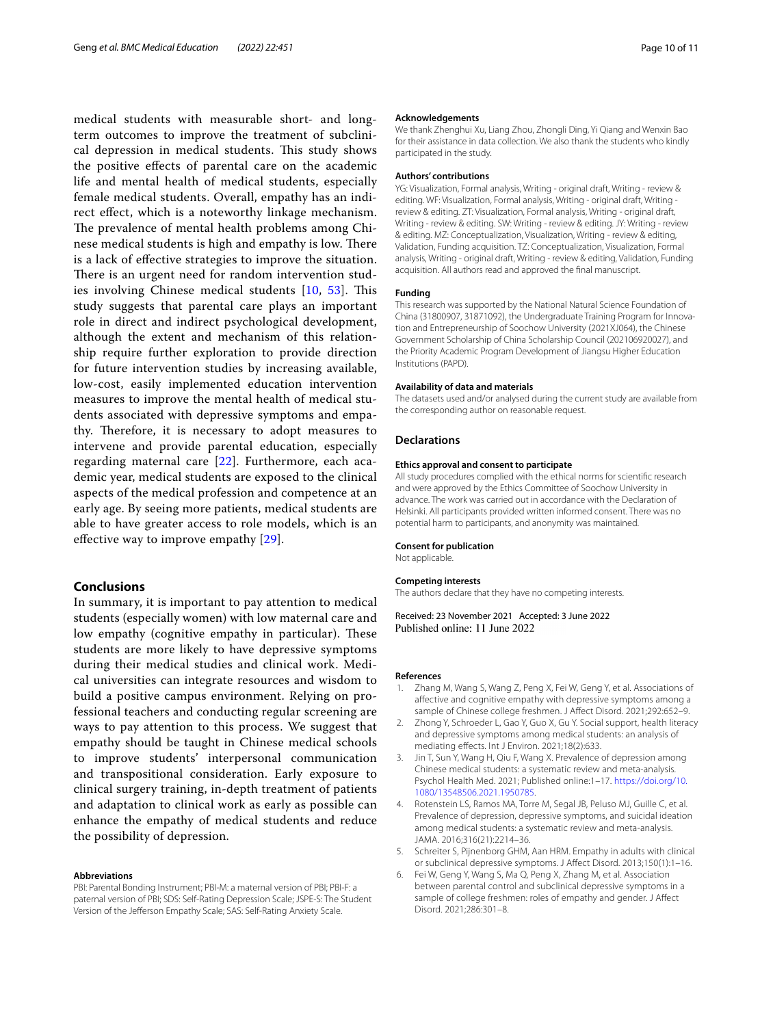medical students with measurable short- and longterm outcomes to improve the treatment of subclinical depression in medical students. This study shows the positive efects of parental care on the academic life and mental health of medical students, especially female medical students. Overall, empathy has an indirect efect, which is a noteworthy linkage mechanism. The prevalence of mental health problems among Chinese medical students is high and empathy is low. There is a lack of efective strategies to improve the situation. There is an urgent need for random intervention stud-ies involving Chinese medical students [[10,](#page-10-3) [53\]](#page-10-46). This study suggests that parental care plays an important role in direct and indirect psychological development, although the extent and mechanism of this relationship require further exploration to provide direction for future intervention studies by increasing available, low-cost, easily implemented education intervention measures to improve the mental health of medical students associated with depressive symptoms and empathy. Therefore, it is necessary to adopt measures to intervene and provide parental education, especially regarding maternal care [[22\]](#page-10-14). Furthermore, each academic year, medical students are exposed to the clinical aspects of the medical profession and competence at an early age. By seeing more patients, medical students are able to have greater access to role models, which is an effective way to improve empathy [\[29](#page-10-17)].

# **Conclusions**

In summary, it is important to pay attention to medical students (especially women) with low maternal care and low empathy (cognitive empathy in particular). These students are more likely to have depressive symptoms during their medical studies and clinical work. Medical universities can integrate resources and wisdom to build a positive campus environment. Relying on professional teachers and conducting regular screening are ways to pay attention to this process. We suggest that empathy should be taught in Chinese medical schools to improve students' interpersonal communication and transpositional consideration. Early exposure to clinical surgery training, in-depth treatment of patients and adaptation to clinical work as early as possible can enhance the empathy of medical students and reduce the possibility of depression.

#### **Abbreviations**

PBI: Parental Bonding Instrument; PBI-M: a maternal version of PBI; PBI-F: a paternal version of PBI; SDS: Self-Rating Depression Scale; JSPE-S: The Student Version of the Jefferson Empathy Scale; SAS: Self-Rating Anxiety Scale.

#### **Acknowledgements**

We thank Zhenghui Xu, Liang Zhou, Zhongli Ding, Yi Qiang and Wenxin Bao for their assistance in data collection. We also thank the students who kindly participated in the study.

#### **Authors' contributions**

YG: Visualization, Formal analysis, Writing - original draft, Writing - review & editing. WF: Visualization, Formal analysis, Writing - original draft, Writing review & editing. ZT: Visualization, Formal analysis, Writing - original draft, Writing - review & editing. SW: Writing - review & editing. JY: Writing - review & editing. MZ: Conceptualization, Visualization, Writing - review & editing, Validation, Funding acquisition. TZ: Conceptualization, Visualization, Formal analysis, Writing - original draft, Writing - review & editing, Validation, Funding acquisition. All authors read and approved the fnal manuscript.

#### **Funding**

This research was supported by the National Natural Science Foundation of China (31800907, 31871092), the Undergraduate Training Program for Innovation and Entrepreneurship of Soochow University (2021XJ064), the Chinese Government Scholarship of China Scholarship Council (202106920027), and the Priority Academic Program Development of Jiangsu Higher Education Institutions (PAPD).

#### **Availability of data and materials**

The datasets used and/or analysed during the current study are available from the corresponding author on reasonable request.

#### **Declarations**

#### **Ethics approval and consent to participate**

All study procedures complied with the ethical norms for scientifc research and were approved by the Ethics Committee of Soochow University in advance. The work was carried out in accordance with the Declaration of Helsinki. All participants provided written informed consent. There was no potential harm to participants, and anonymity was maintained.

#### **Consent for publication**

Not applicable.

#### **Competing interests**

The authors declare that they have no competing interests.

Received: 23 November 2021 Accepted: 3 June 2022 Published online: 11 June 2022

#### **References**

- <span id="page-9-0"></span>1. Zhang M, Wang S, Wang Z, Peng X, Fei W, Geng Y, et al. Associations of afective and cognitive empathy with depressive symptoms among a sample of Chinese college freshmen. J Afect Disord. 2021;292:652–9.
- <span id="page-9-5"></span>2. Zhong Y, Schroeder L, Gao Y, Guo X, Gu Y. Social support, health literacy and depressive symptoms among medical students: an analysis of mediating efects. Int J Environ. 2021;18(2):633.
- <span id="page-9-1"></span>3. Jin T, Sun Y, Wang H, Qiu F, Wang X. Prevalence of depression among Chinese medical students: a systematic review and meta-analysis. Psychol Health Med. 2021; Published online:1–17. [https://doi.org/10.](https://doi.org/10.1080/13548506.2021.1950785) [1080/13548506.2021.1950785.](https://doi.org/10.1080/13548506.2021.1950785)
- <span id="page-9-2"></span>4. Rotenstein LS, Ramos MA, Torre M, Segal JB, Peluso MJ, Guille C, et al. Prevalence of depression, depressive symptoms, and suicidal ideation among medical students: a systematic review and meta-analysis. JAMA. 2016;316(21):2214–36.
- <span id="page-9-3"></span>5. Schreiter S, Pijnenborg GHM, Aan HRM. Empathy in adults with clinical or subclinical depressive symptoms. J Afect Disord. 2013;150(1):1–16.
- <span id="page-9-4"></span>6. Fei W, Geng Y, Wang S, Ma Q, Peng X, Zhang M, et al. Association between parental control and subclinical depressive symptoms in a sample of college freshmen: roles of empathy and gender. J Afect Disord. 2021;286:301–8.